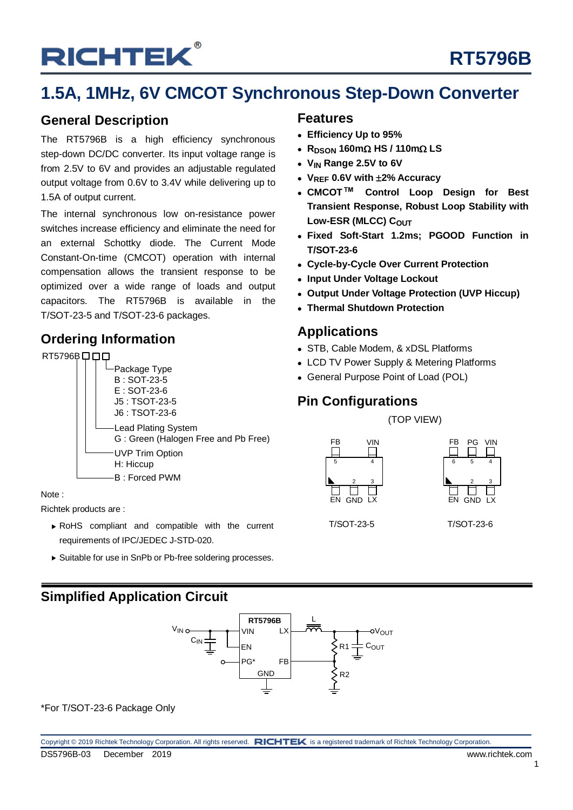## **RT5796B**

### **1.5A, 1MHz, 6V CMCOT Synchronous Step-Down Converter**

### **General Description**

The RT5796B is a high efficiency synchronous step-down DC/DC converter. Its input voltage range is from 2.5V to 6V and provides an adjustable regulated output voltage from 0.6V to 3.4V while delivering up to 1.5A of output current.

The internal synchronous low on-resistance power switches increase efficiency and eliminate the need for an external Schottky diode. The Current Mode Constant-On-time (CMCOT) operation with internal compensation allows the transient response to be optimized over a wide range of loads and output capacitors. The RT5796B is available in the T/SOT-23-5 and T/SOT-23-6 packages.

### **Ordering Information**



#### Note :

Richtek products are :

- RoHS compliant and compatible with the current requirements of IPC/JEDEC J-STD-020.
- Suitable for use in SnPb or Pb-free soldering processes.

### **Features**

- **Efficiency Up to 95%**
- $\cdot$  R<sub>DSON</sub> 160m $\Omega$  HS / 110m $\Omega$  LS
- **VIN Range 2.5V to 6V**
- **VREF 0.6V with 2% Accuracy**
- **CMCOT™ Control Loop Design for Best Transient Response, Robust Loop Stability with**  Low-ESR (MLCC) COUT
- **Fixed Soft-Start 1.2ms; PGOOD Function in T/SOT-23-6**
- **Cycle-by-Cycle Over Current Protection**
- **Input Under Voltage Lockout**
- **Output Under Voltage Protection (UVP Hiccup)**
- **Thermal Shutdown Protection**

### **Applications**

- STB, Cable Modem, & xDSL Platforms
- LCD TV Power Supply & Metering Platforms
- General Purpose Point of Load (POL)

### **Pin Configurations**

(TOP VIEW)





T/SOT-23-5 T/SOT-23-6

### **Simplified Application Circuit**



\*For T/SOT-23-6 Package Only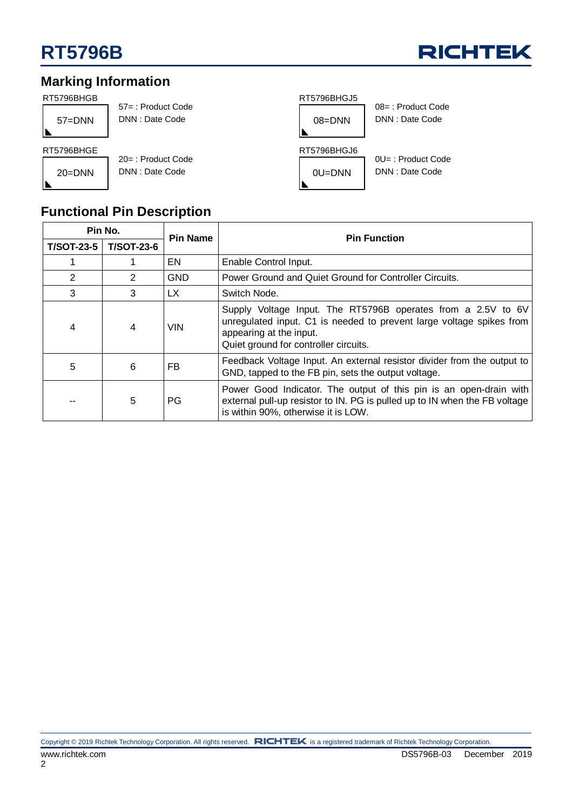

### **Marking Information**

| RT5796BHGB |                                         | RT5796BHGJ5                                           |
|------------|-----------------------------------------|-------------------------------------------------------|
| $57 =$ DNN | 57 =: Product Code<br>DNN: Date Code    | $08 =$ : Product Code<br>DNN: Date Code<br>$08 =$ DNN |
| RT5796BHGE |                                         | RT5796BHGJ6                                           |
| $20 = DNN$ | $20 =$ : Product Code<br>DNN: Date Code | $0U =$ : Product Code<br>DNN: Date Code<br>$0U = DNN$ |

### **Functional Pin Description**

| Pin No.           |                   | <b>Pin Name</b> | <b>Pin Function</b>                                                                                                                                                                                      |  |
|-------------------|-------------------|-----------------|----------------------------------------------------------------------------------------------------------------------------------------------------------------------------------------------------------|--|
| <b>T/SOT-23-5</b> | <b>T/SOT-23-6</b> |                 |                                                                                                                                                                                                          |  |
|                   |                   | EN              | Enable Control Input.                                                                                                                                                                                    |  |
| 2                 | $\mathcal{P}$     | <b>GND</b>      | Power Ground and Quiet Ground for Controller Circuits.                                                                                                                                                   |  |
| 3                 | 3                 | LX.             | Switch Node.                                                                                                                                                                                             |  |
| 4                 | 4                 | <b>VIN</b>      | Supply Voltage Input. The RT5796B operates from a 2.5V to 6V<br>unregulated input. C1 is needed to prevent large voltage spikes from<br>appearing at the input.<br>Quiet ground for controller circuits. |  |
| 5                 | 6                 | FB.             | Feedback Voltage Input. An external resistor divider from the output to<br>GND, tapped to the FB pin, sets the output voltage.                                                                           |  |
|                   | 5                 | PG              | Power Good Indicator. The output of this pin is an open-drain with<br>external pull-up resistor to IN. PG is pulled up to IN when the FB voltage<br>is within 90%, otherwise it is LOW.                  |  |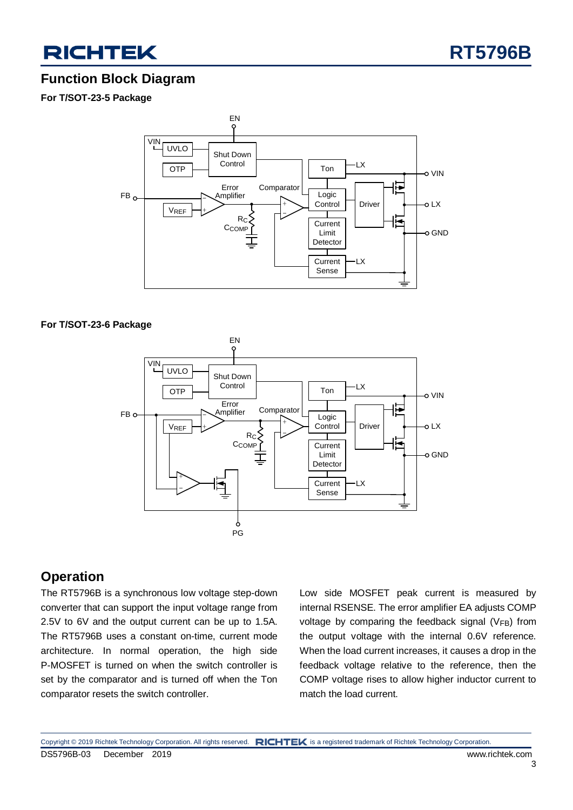



### **Function Block Diagram**

**For T/SOT-23-5 Package**



#### **For T/SOT-23-6 Package**



### **Operation**

The RT5796B is a synchronous low voltage step-down converter that can support the input voltage range from 2.5V to 6V and the output current can be up to 1.5A. The RT5796B uses a constant on-time, current mode architecture. In normal operation, the high side P-MOSFET is turned on when the switch controller is set by the comparator and is turned off when the Ton comparator resets the switch controller.

Low side MOSFET peak current is measured by internal RSENSE. The error amplifier EA adjusts COMP voltage by comparing the feedback signal (VFB) from the output voltage with the internal 0.6V reference. When the load current increases, it causes a drop in the feedback voltage relative to the reference, then the COMP voltage rises to allow higher inductor current to match the load current.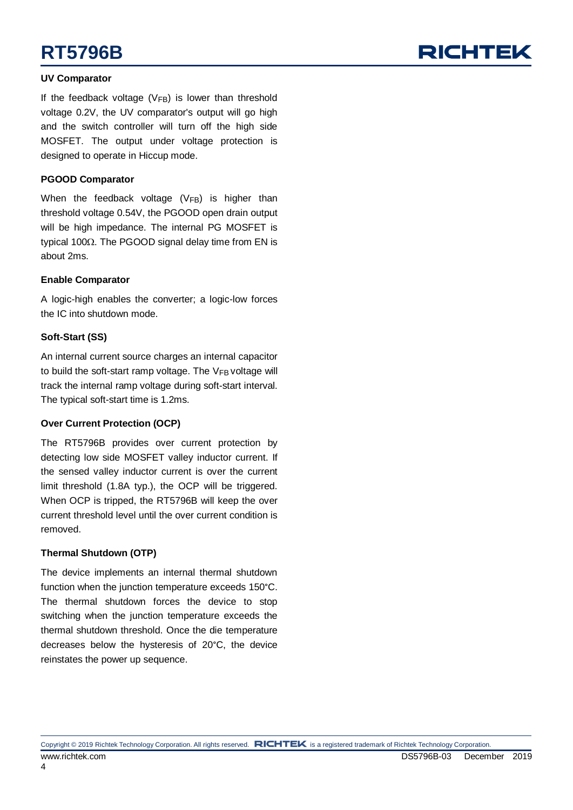### **UV Comparator**

If the feedback voltage  $(V_{FB})$  is lower than threshold voltage 0.2V, the UV comparator's output will go high and the switch controller will turn off the high side MOSFET. The output under voltage protection is designed to operate in Hiccup mode.

#### **PGOOD Comparator**

When the feedback voltage  $(V_{FB})$  is higher than threshold voltage 0.54V, the PGOOD open drain output will be high impedance. The internal PG MOSFET is typical 100 $\Omega$ . The PGOOD signal delay time from EN is about 2ms.

#### **Enable Comparator**

A logic-high enables the converter; a logic-low forces the IC into shutdown mode.

#### **Soft-Start (SS)**

An internal current source charges an internal capacitor to build the soft-start ramp voltage. The  $V_{FB}$  voltage will track the internal ramp voltage during soft-start interval. The typical soft-start time is 1.2ms.

#### **Over Current Protection (OCP)**

The RT5796B provides over current protection by detecting low side MOSFET valley inductor current. If the sensed valley inductor current is over the current limit threshold (1.8A typ.), the OCP will be triggered. When OCP is tripped, the RT5796B will keep the over current threshold level until the over current condition is removed.

#### **Thermal Shutdown (OTP)**

The device implements an internal thermal shutdown function when the junction temperature exceeds 150°C. The thermal shutdown forces the device to stop switching when the junction temperature exceeds the thermal shutdown threshold. Once the die temperature decreases below the hysteresis of 20°C, the device reinstates the power up sequence.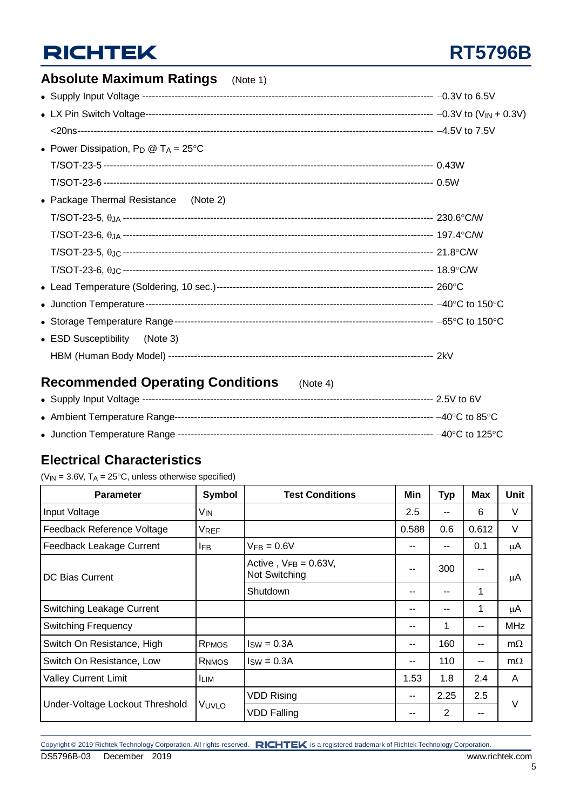## **RT5796B**

| <b>Absolute Maximum Ratings</b> (Note 1)         |  |
|--------------------------------------------------|--|
|                                                  |  |
|                                                  |  |
|                                                  |  |
| • Power Dissipation, $P_D @ T_A = 25^{\circ}C$   |  |
|                                                  |  |
|                                                  |  |
| • Package Thermal Resistance (Note 2)            |  |
|                                                  |  |
|                                                  |  |
|                                                  |  |
|                                                  |  |
|                                                  |  |
|                                                  |  |
|                                                  |  |
| • ESD Susceptibility<br>(Note 3)                 |  |
|                                                  |  |
| <b>Recommended Operating Conditions</b> (Note 4) |  |

### **Recommended Operating Conditions** (Note 4)

### **Electrical Characteristics**

( $V_{IN}$  = 3.6V, T<sub>A</sub> = 25°C, unless otherwise specified)

| <b>Parameter</b>                | Symbol          | <b>Test Conditions</b>                      | Min   | <b>Typ</b>     | <b>Max</b> | <b>Unit</b> |
|---------------------------------|-----------------|---------------------------------------------|-------|----------------|------------|-------------|
| Input Voltage                   | V <sub>IN</sub> |                                             | 2.5   | --             | 6          | V           |
| Feedback Reference Voltage      | <b>VREF</b>     |                                             | 0.588 | 0.6            | 0.612      | V           |
| Feedback Leakage Current        | <b>IFB</b>      | $VFB = 0.6V$                                | --    | --             | 0.1        | μA          |
| DC Bias Current                 |                 | Active, $V_{FB} = 0.63V$ ,<br>Not Switching | --    | 300            | --         | μA          |
|                                 |                 | Shutdown                                    | --    | --             | 1          |             |
| Switching Leakage Current       |                 |                                             |       | --             | 1          | μA          |
| <b>Switching Frequency</b>      |                 |                                             | --    | 1              | --         | MHz.        |
| Switch On Resistance, High      | RPMOS           | $Isw = 0.3A$                                | --    | 160            | --         | $m\Omega$   |
| Switch On Resistance, Low       | RNMOS           | $ISW = 0.3A$                                | --    | 110            | --         | $m\Omega$   |
| <b>Valley Current Limit</b>     | <b>ILIM</b>     |                                             | 1.53  | 1.8            | 2.4        | A           |
|                                 |                 | <b>VDD Rising</b>                           | --    | 2.25           | 2.5        | $\vee$      |
| Under-Voltage Lockout Threshold | VUVLO           | <b>VDD Falling</b>                          | --    | $\overline{2}$ | --         |             |

Copyright © 2019 Richtek Technology Corporation. All rights reserved. RICHTEK is a registered trademark of Richtek Technology Corporation. DS5796B-03 December 2019 www.richtek.com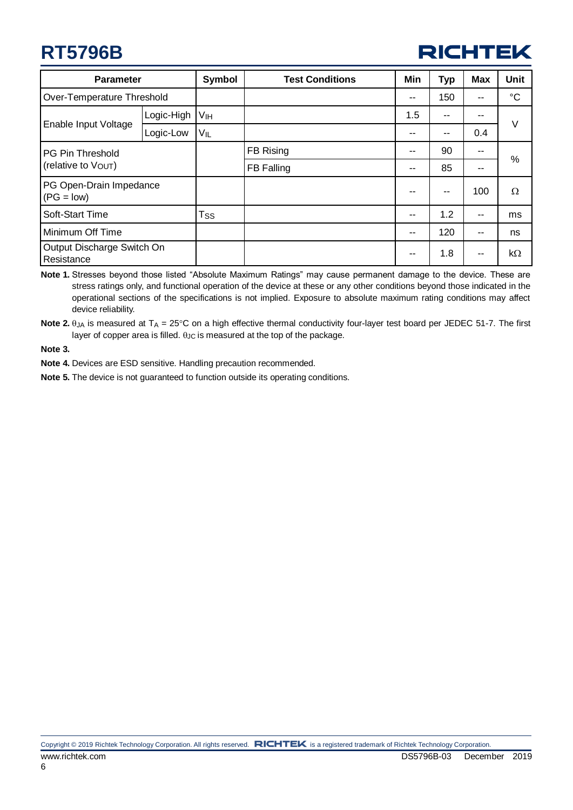

| <b>Parameter</b>                         |            | <b>Symbol</b>   | <b>Test Conditions</b> | Min | <b>Typ</b> | <b>Max</b> | <b>Unit</b> |
|------------------------------------------|------------|-----------------|------------------------|-----|------------|------------|-------------|
| Over-Temperature Threshold               |            |                 |                        | --  | 150        | --         | $^{\circ}C$ |
|                                          | Logic-High | V <sub>IH</sub> |                        | 1.5 | $- -$      | --         |             |
| Enable Input Voltage                     | Logic-Low  | Vil             |                        |     | --         | 0.4        | V           |
| <b>PG Pin Threshold</b>                  |            |                 | FB Rising              | --  | 90         | --         |             |
| (relative to Vout)                       |            |                 | FB Falling             | --  | 85         | --         | %           |
| PG Open-Drain Impedance<br>$(PG = low)$  |            |                 |                        |     | --         | 100        | $\Omega$    |
| Soft-Start Time                          |            | <b>Tss</b>      |                        | --  | 1.2        | --         | ms          |
| Minimum Off Time                         |            |                 |                        | --  | 120        | --         | ns          |
| Output Discharge Switch On<br>Resistance |            |                 |                        | --  | 1.8        | --         | $k\Omega$   |

**Note 1.** Stresses beyond those listed "Absolute Maximum Ratings" may cause permanent damage to the device. These are stress ratings only, and functional operation of the device at these or any other conditions beyond those indicated in the operational sections of the specifications is not implied. Exposure to absolute maximum rating conditions may affect device reliability.

**Note 2.**  $\theta$ <sub>JA</sub> is measured at  $T_A = 25^\circ \text{C}$  on a high effective thermal conductivity four-layer test board per JEDEC 51-7. The first layer of copper area is filled.  $\theta$ Jc is measured at the top of the package.

**Note 3.**

**Note 4.** Devices are ESD sensitive. Handling precaution recommended.

**Note 5.** The device is not guaranteed to function outside its operating conditions.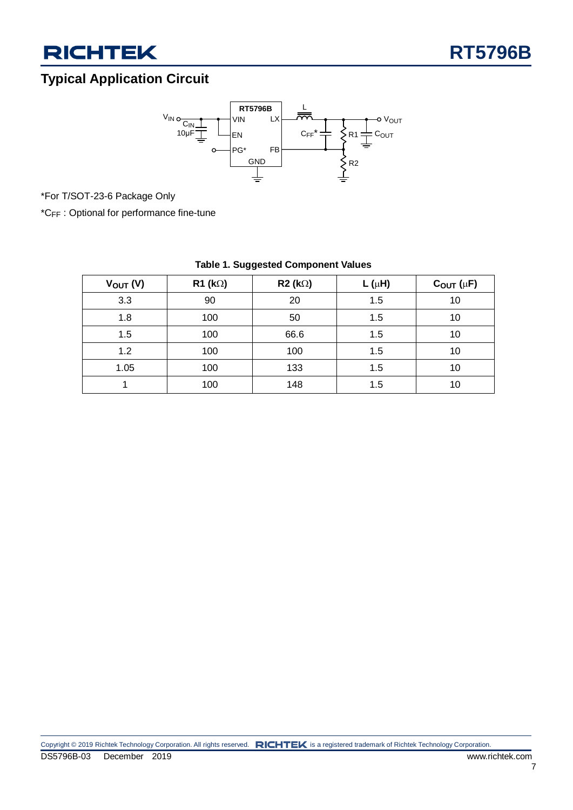

### **Typical Application Circuit**



\*For T/SOT-23-6 Package Only

\*CFF : Optional for performance fine-tune

| $V_{OUT} (V)$ | $R1$ (k $\Omega$ ) | $R2 (k\Omega)$ | L ( $\mu$ H) | $C_{OUT}(\mu F)$ |
|---------------|--------------------|----------------|--------------|------------------|
| 3.3           | 90                 | 20             | 1.5          | 10               |
| 1.8           | 100                | 50             | 1.5          | 10               |
| 1.5           | 100                | 66.6           | 1.5          | 10               |
| 1.2           | 100                | 100            | 1.5          | 10               |
| 1.05          | 100                | 133            | 1.5          | 10               |
|               | 100                | 148            | 1.5          | 10               |

### **Table 1. Suggested Component Values**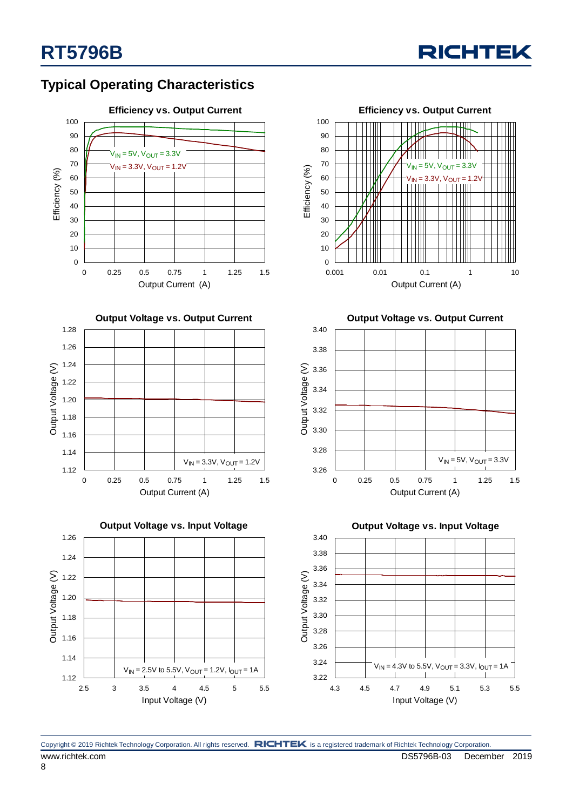

### **Typical Operating Characteristics**













**Output Voltage vs. Output Current**



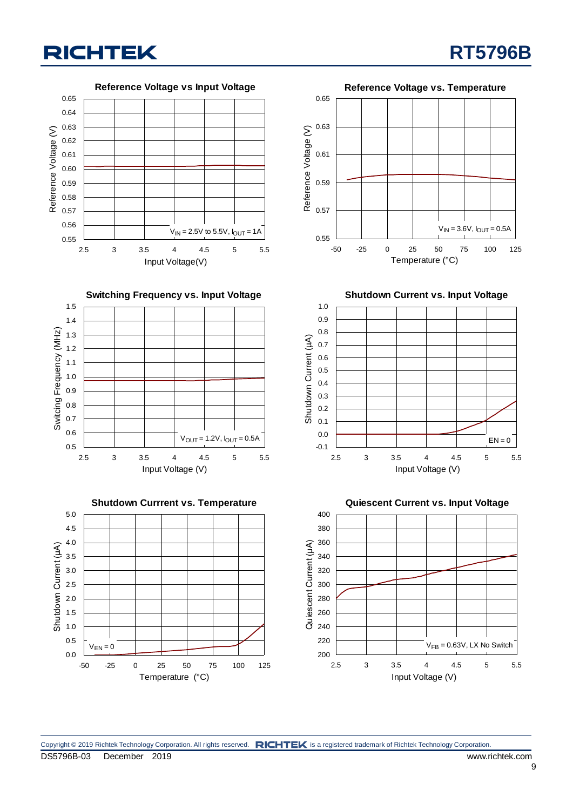**Reference Voltage vs Input Voltage** 0.65 0.64 0.63 Reference Voltage (V) Reference Voltage (V) 0.62 0.61 0.60 0.59 0.58 0.57 0.56  $V_{\text{IN}} = 2.5V$  to 5.5V,  $I_{\text{OUT}} = 1A$ 0.55 2.5 3 3.5 4 4.5 5 5.5 Input Voltage(V)







**RT5796B**



0.65

**Shutdown Current vs. Input Voltage**



**Quiescent Current vs. Input Voltage**



Copyright © 2019 Richtek Technology Corporation. All rights reserved. RICHTEK is a registered trademark of Richtek Technology Corporation.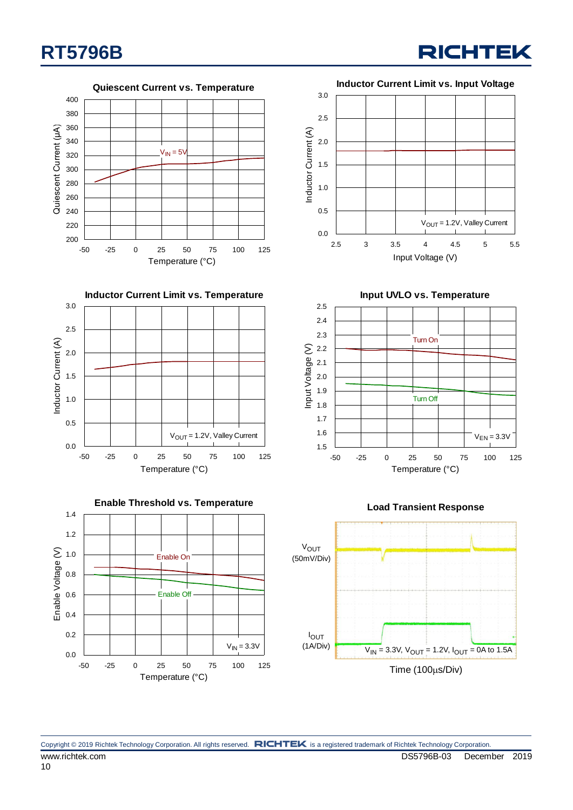**RICHTEK** 

**Quiescent Current vs. Temperature** 400 380 360 Quiescent Current (µA) Quiescent Current (μA) 340  $V_{IN} = 5V$ 320 300 280 260 240 220 200 -50 -25 0 25 50 75 100 125 Temperature (°C)







**Input UVLO vs. Temperature**







Copyright © 2019 Richtek Technology Corporation. All rights reserved. RICHTEK is a registered trademark of Richtek Technology Corporation. www.richtek.com **DS5796B-03** December 2019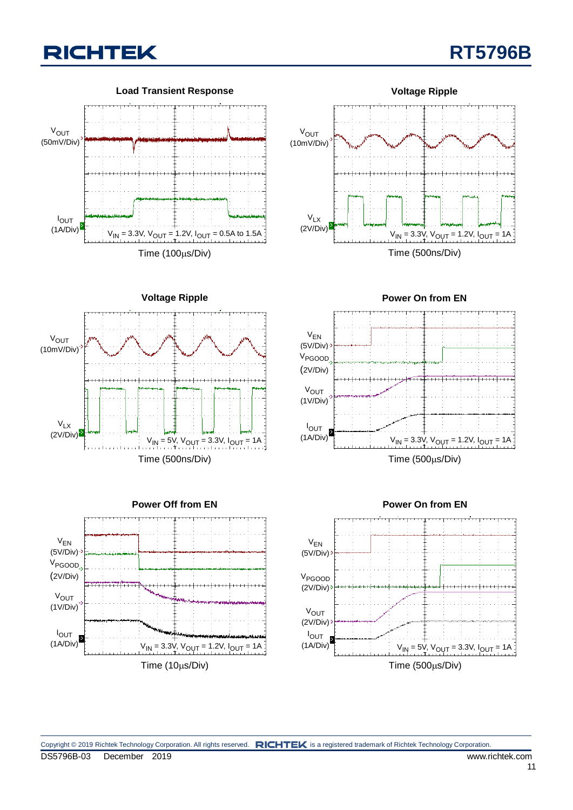











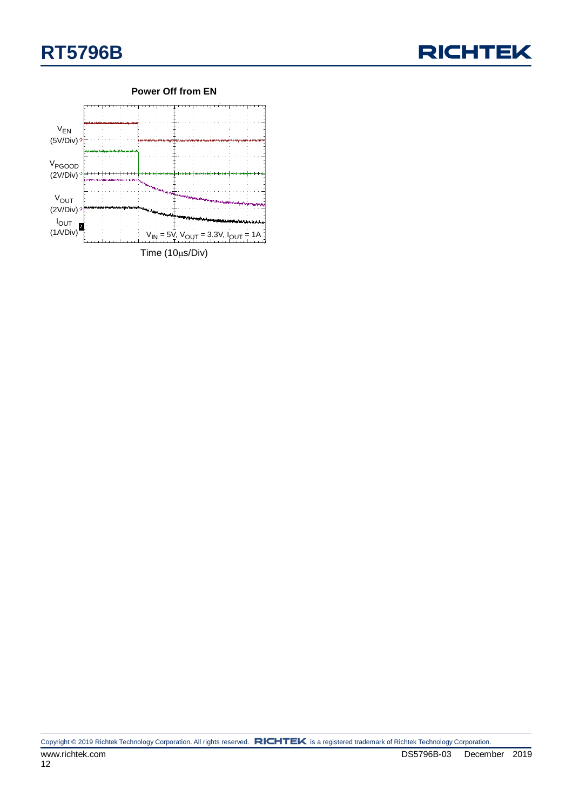



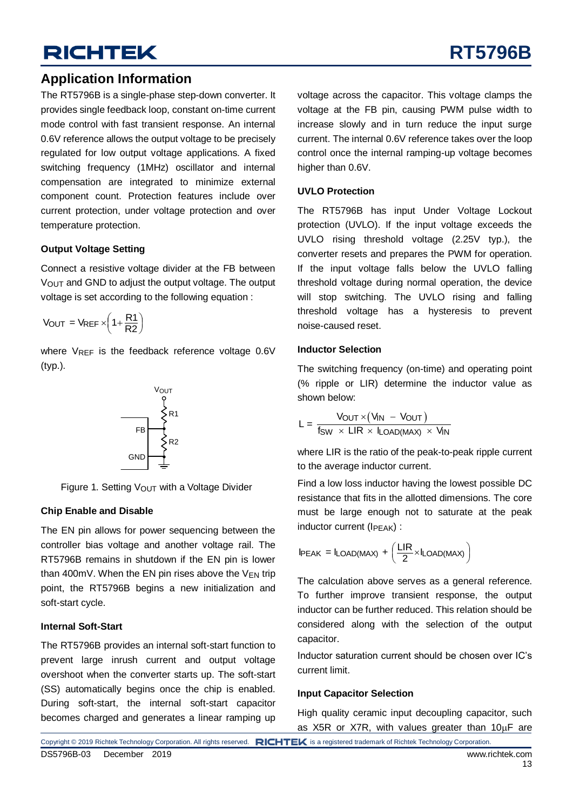### **Application Information**

The RT5796B is a single-phase step-down converter. It provides single feedback loop, constant on-time current mode control with fast transient response. An internal 0.6V reference allows the output voltage to be precisely regulated for low output voltage applications. A fixed switching frequency (1MHz) oscillator and internal compensation are integrated to minimize external component count. Protection features include over current protection, under voltage protection and over temperature protection.

#### **Output Voltage Setting**

Connect a resistive voltage divider at the FB between VOUT and GND to adjust the output voltage. The output voltage is set according to the following equation :

$$
V_{OUT} = V_{REF} \times \left(1 + \frac{R1}{R2}\right)
$$

where VREF is the feedback reference voltage 0.6V (typ.).



Figure 1. Setting  $V_{\text{OUT}}$  with a Voltage Divider

#### **Chip Enable and Disable**

The EN pin allows for power sequencing between the controller bias voltage and another voltage rail. The RT5796B remains in shutdown if the EN pin is lower than 400mV. When the EN pin rises above the  $V_{EN}$  trip point, the RT5796B begins a new initialization and soft-start cycle.

#### **Internal Soft-Start**

The RT5796B provides an internal soft-start function to prevent large inrush current and output voltage overshoot when the converter starts up. The soft-start (SS) automatically begins once the chip is enabled. During soft-start, the internal soft-start capacitor becomes charged and generates a linear ramping up

voltage across the capacitor. This voltage clamps the voltage at the FB pin, causing PWM pulse width to increase slowly and in turn reduce the input surge current. The internal 0.6V reference takes over the loop control once the internal ramping-up voltage becomes higher than 0.6V.

#### **UVLO Protection**

The RT5796B has input Under Voltage Lockout protection (UVLO). If the input voltage exceeds the UVLO rising threshold voltage (2.25V typ.), the converter resets and prepares the PWM for operation. If the input voltage falls below the UVLO falling threshold voltage during normal operation, the device will stop switching. The UVLO rising and falling threshold voltage has a hysteresis to prevent noise-caused reset.

#### **Inductor Selection**

The switching frequency (on-time) and operating point (% ripple or LIR) determine the inductor value as shown below:

$$
L = \frac{V_{OUT} \times (V_{IN} - V_{OUT})}{f_{SW} \times LIR \times I_{LOAD(MAX)} \times V_{IN}}
$$

where LIR is the ratio of the peak-to-peak ripple current to the average inductor current.

Find a low loss inductor having the lowest possible DC resistance that fits in the allotted dimensions. The core must be large enough not to saturate at the peak inductor current (IPEAK) :

$$
IPEAK = ILOAD(MAX) + \left(\frac{LIR}{2} \times ILOAD(MAX)\right)
$$

The calculation above serves as a general reference. To further improve transient response, the output inductor can be further reduced. This relation should be considered along with the selection of the output capacitor.

Inductor saturation current should be chosen over IC's current limit.

#### **Input Capacitor Selection**

High quality ceramic input decoupling capacitor, such as X5R or X7R, with values greater than  $10\mu$ F are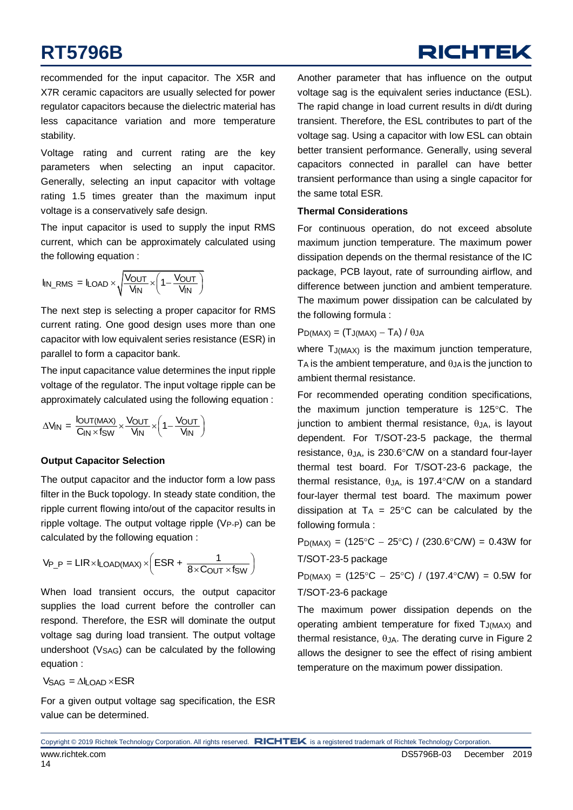## **RICHTEK**

recommended for the input capacitor. The X5R and X7R ceramic capacitors are usually selected for power regulator capacitors because the dielectric material has less capacitance variation and more temperature stability.

Voltage rating and current rating are the key parameters when selecting an input capacitor. Generally, selecting an input capacitor with voltage rating 1.5 times greater than the maximum input voltage is a conservatively safe design.

The input capacitor is used to supply the input RMS current, which can be approximately calculated using the following equation :

$$
I_{IN\_RMS} = I_{LOAD} \times \sqrt{\frac{V_{OUT}}{V_{IN}}} \times \left(1 - \frac{V_{OUT}}{V_{IN}}\right)
$$

The next step is selecting a proper capacitor for RMS current rating. One good design uses more than one capacitor with low equivalent series resistance (ESR) in parallel to form a capacitor bank.

The input capacitance value determines the input ripple voltage of the regulator. The input voltage ripple can be approximately calculated using the following equation :

$$
\Delta V_{IN} = \frac{I_{OUT(MAX)}}{C_{IN} \times f_{SW}} \times \frac{V_{OUT}}{V_{IN}} \times \left(1 - \frac{V_{OUT}}{V_{IN}}\right)
$$

### **Output Capacitor Selection**

The output capacitor and the inductor form a low pass filter in the Buck topology. In steady state condition, the ripple current flowing into/out of the capacitor results in ripple voltage. The output voltage ripple  $(V_{P-P})$  can be calculated by the following equation :

calculated by the following equation:

\n
$$
V_{P_P} = LIR \times I_{LOAD(MAX)} \times \left( ESR + \frac{1}{8 \times C_{OUT} \times f_{SW}} \right)
$$

When load transient occurs, the output capacitor supplies the load current before the controller can respond. Therefore, the ESR will dominate the output voltage sag during load transient. The output voltage undershoot (VSAG) can be calculated by the following equation :

 $V_{\text{SAG}} = \Delta I_{\text{I}} \Omega_{\text{AD}} \times \text{ESR}$ 

For a given output voltage sag specification, the ESR value can be determined.

Another parameter that has influence on the output voltage sag is the equivalent series inductance (ESL). The rapid change in load current results in di/dt during transient. Therefore, the ESL contributes to part of the voltage sag. Using a capacitor with low ESL can obtain better transient performance. Generally, using several capacitors connected in parallel can have better transient performance than using a single capacitor for the same total ESR.

#### **Thermal Considerations**

For continuous operation, do not exceed absolute maximum junction temperature. The maximum power dissipation depends on the thermal resistance of the IC package, PCB layout, rate of surrounding airflow, and difference between junction and ambient temperature. The maximum power dissipation can be calculated by the following formula :

### $P_{D(MAX)} = (T_{J(MAX)} - T_A)/\theta_{JA}$

where T<sub>J(MAX)</sub> is the maximum junction temperature,  $T_A$  is the ambient temperature, and  $\theta_{JA}$  is the junction to ambient thermal resistance.

For recommended operating condition specifications, the maximum junction temperature is  $125^{\circ}$ C. The junction to ambient thermal resistance,  $\theta_{JA}$ , is layout dependent. For T/SOT-23-5 package, the thermal resistance,  $\theta_{JA}$ , is 230.6°C/W on a standard four-layer thermal test board. For T/SOT-23-6 package, the thermal resistance,  $\theta_{JA}$ , is 197.4°C/W on a standard four-layer thermal test board. The maximum power dissipation at  $T_A = 25^{\circ}$ C can be calculated by the following formula :

 $P_{D(MAX)} = (125\degree C - 25\degree C) / (230.6\degree C/W) = 0.43W$  for T/SOT-23-5 package

 $P_{D(MAX)} = (125^{\circ}C - 25^{\circ}C) / (197.4^{\circ}C/W) = 0.5W$  for T/SOT-23-6 package

The maximum power dissipation depends on the operating ambient temperature for fixed  $T_{J(MAX)}$  and thermal resistance,  $\theta$ JA. The derating curve i[n Figure 2](#page-14-0) allows the designer to see the effect of rising ambient temperature on the maximum power dissipation.

Copyright © 2019 Richtek Technology Corporation. All rights reserved. RICHTEK is a registered trademark of Richtek Technology Corporation.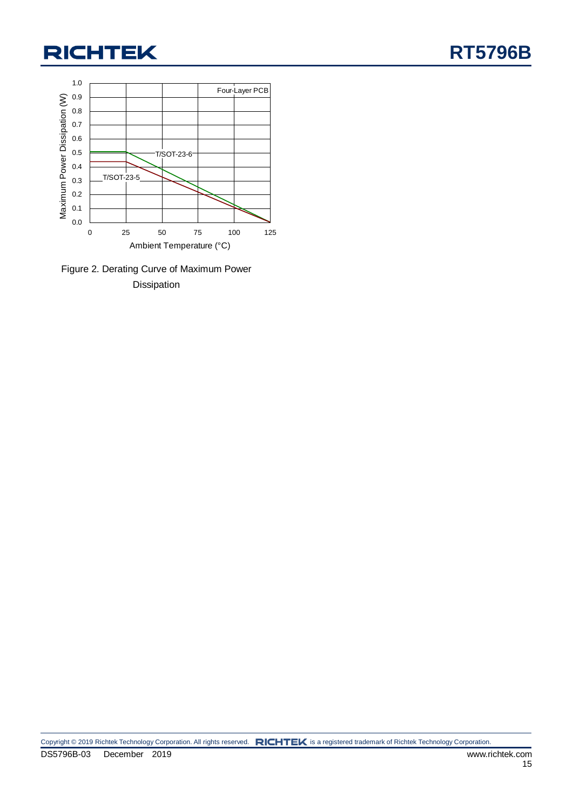

<span id="page-14-0"></span>Figure 2. Derating Curve of Maximum Power Dissipation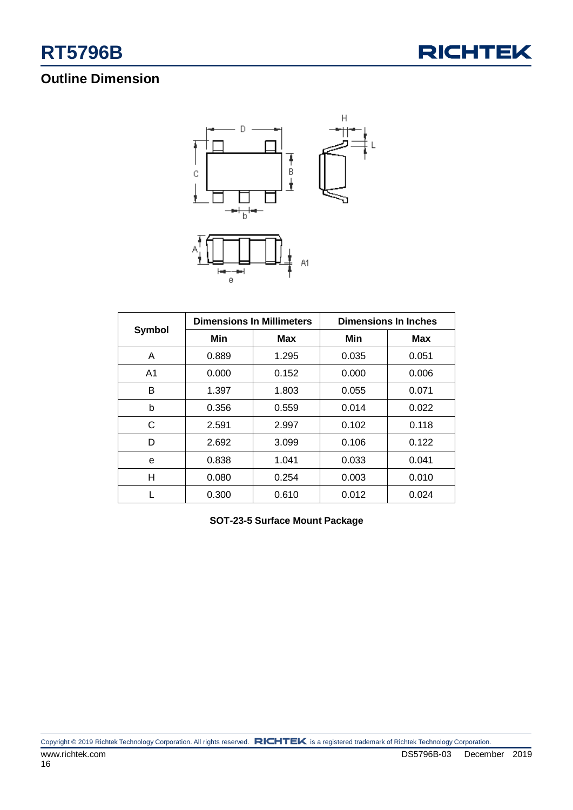

### **Outline Dimension**



|                | <b>Dimensions In Millimeters</b> |            | <b>Dimensions In Inches</b> |            |
|----------------|----------------------------------|------------|-----------------------------|------------|
| Symbol         | Min                              | <b>Max</b> | Min                         | <b>Max</b> |
| A              | 0.889                            | 1.295      | 0.035                       | 0.051      |
| A <sub>1</sub> | 0.000                            | 0.152      | 0.000                       | 0.006      |
| B              | 1.397                            | 1.803      | 0.055                       | 0.071      |
| b              | 0.356                            | 0.559      | 0.014                       | 0.022      |
| C              | 2.591                            | 2.997      | 0.102                       | 0.118      |
| D              | 2.692                            | 3.099      | 0.106                       | 0.122      |
| e              | 0.838                            | 1.041      | 0.033                       | 0.041      |
| н              | 0.080                            | 0.254      | 0.003                       | 0.010      |
|                | 0.300                            | 0.610      | 0.012                       | 0.024      |

**SOT-23-5 Surface Mount Package**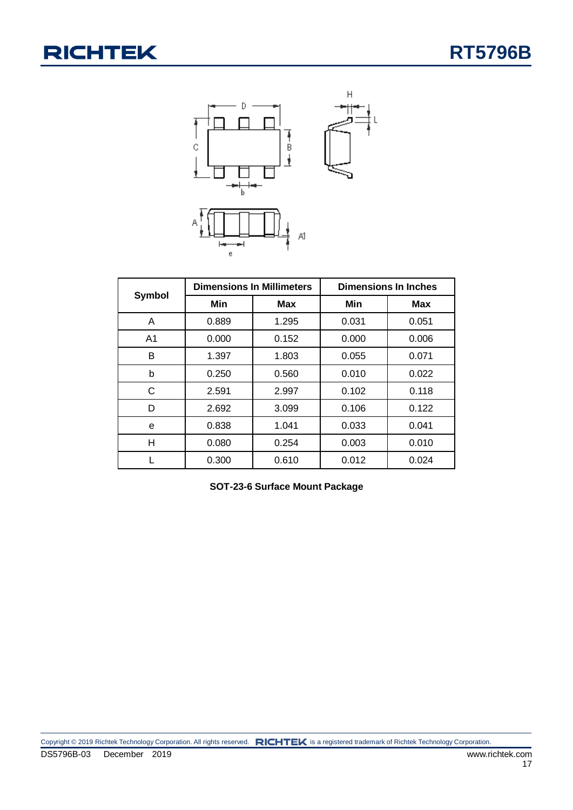

|                | <b>Dimensions In Millimeters</b> |            | <b>Dimensions In Inches</b> |            |
|----------------|----------------------------------|------------|-----------------------------|------------|
| Symbol         | Min                              | <b>Max</b> | Min                         | <b>Max</b> |
| A              | 0.889                            | 1.295      | 0.031                       | 0.051      |
| A <sub>1</sub> | 0.000                            | 0.152      | 0.000                       | 0.006      |
| B              | 1.397                            | 1.803      | 0.055                       | 0.071      |
| b              | 0.250                            | 0.560      | 0.010                       | 0.022      |
| C              | 2.591                            | 2.997      | 0.102                       | 0.118      |
| D              | 2.692                            | 3.099      | 0.106                       | 0.122      |
| e              | 0.838                            | 1.041      | 0.033                       | 0.041      |
| н              | 0.080                            | 0.254      | 0.003                       | 0.010      |
|                | 0.300                            | 0.610      | 0.012                       | 0.024      |

| SOT-23-6 Surface Mount Package |  |  |  |  |
|--------------------------------|--|--|--|--|
|--------------------------------|--|--|--|--|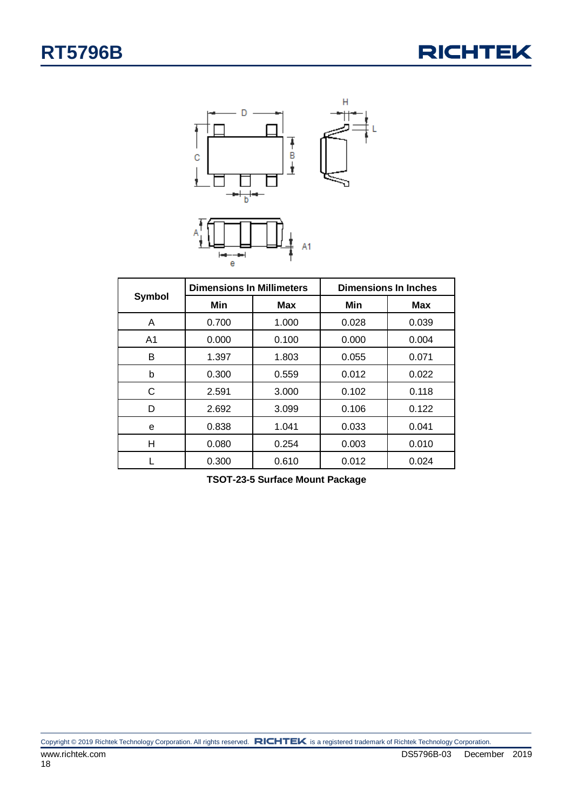



|                | <b>Dimensions In Millimeters</b> |            | <b>Dimensions In Inches</b> |            |
|----------------|----------------------------------|------------|-----------------------------|------------|
| Symbol         | Min                              | <b>Max</b> | Min                         | <b>Max</b> |
| A              | 0.700                            | 1.000      | 0.028                       | 0.039      |
| A <sub>1</sub> | 0.000                            | 0.100      | 0.000                       | 0.004      |
| B              | 1.397                            | 1.803      | 0.055                       | 0.071      |
| b              | 0.300                            | 0.559      | 0.012                       | 0.022      |
| С              | 2.591                            | 3.000      | 0.102                       | 0.118      |
| D              | 2.692                            | 3.099      | 0.106                       | 0.122      |
| e              | 0.838                            | 1.041      | 0.033                       | 0.041      |
| н              | 0.080                            | 0.254      | 0.003                       | 0.010      |
|                | 0.300                            | 0.610      | 0.012                       | 0.024      |

**TSOT-23-5 Surface Mount Package**